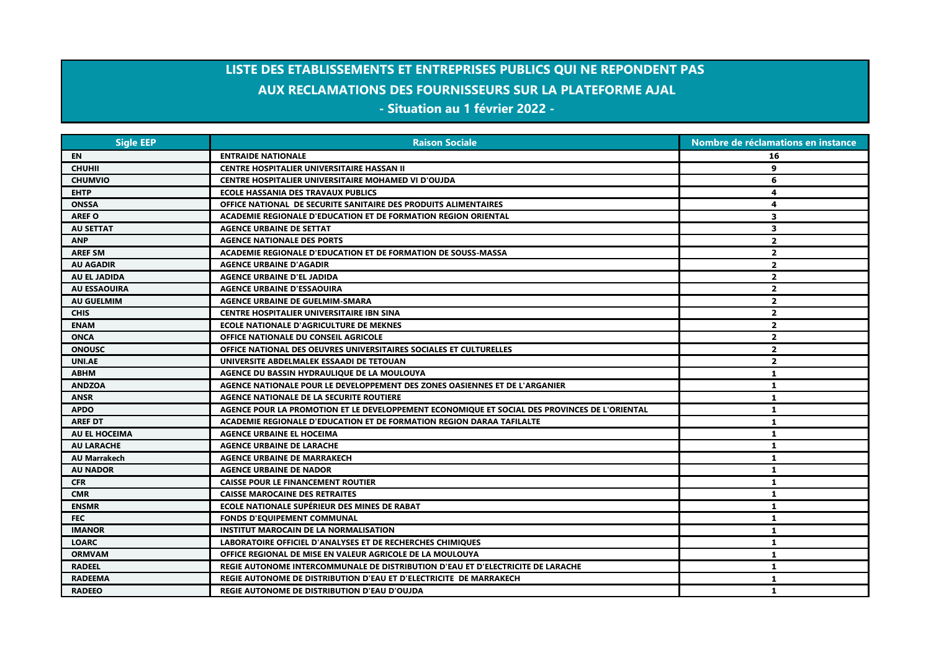## **LISTE DES ETABLISSEMENTS ET ENTREPRISES PUBLICS QUI NE REPONDENT PAS AUX RECLAMATIONS DES FOURNISSEURS SUR LA PLATEFORME AJAL - Situation au 1 février 2022 -**

| <b>Sigle EEP</b>     | <b>Raison Sociale</b>                                                                         | Nombre de réclamations en instance |
|----------------------|-----------------------------------------------------------------------------------------------|------------------------------------|
| EN                   | <b>ENTRAIDE NATIONALE</b>                                                                     | 16                                 |
| <b>CHUHII</b>        | <b>CENTRE HOSPITALIER UNIVERSITAIRE HASSAN II</b>                                             | 9                                  |
| <b>CHUMVIO</b>       | <b>CENTRE HOSPITALIER UNIVERSITAIRE MOHAMED VI D'OUJDA</b>                                    | 6                                  |
| <b>EHTP</b>          | <b>ECOLE HASSANIA DES TRAVAUX PUBLICS</b>                                                     | 4                                  |
| <b>ONSSA</b>         | OFFICE NATIONAL DE SECURITE SANITAIRE DES PRODUITS ALIMENTAIRES                               | 4                                  |
| <b>AREF O</b>        | ACADEMIE REGIONALE D'EDUCATION ET DE FORMATION REGION ORIENTAL                                | 3                                  |
| <b>AU SETTAT</b>     | <b>AGENCE URBAINE DE SETTAT</b>                                                               | 3                                  |
| <b>ANP</b>           | <b>AGENCE NATIONALE DES PORTS</b>                                                             | $\overline{\mathbf{2}}$            |
| <b>AREF SM</b>       | ACADEMIE REGIONALE D'EDUCATION ET DE FORMATION DE SOUSS-MASSA                                 | $\overline{2}$                     |
| <b>AU AGADIR</b>     | <b>AGENCE URBAINE D'AGADIR</b>                                                                | $\overline{2}$                     |
| AU EL JADIDA         | <b>AGENCE URBAINE D'EL JADIDA</b>                                                             | $\overline{2}$                     |
| <b>AU ESSAOUIRA</b>  | <b>AGENCE URBAINE D'ESSAOUIRA</b>                                                             | $\overline{\mathbf{2}}$            |
| <b>AU GUELMIM</b>    | <b>AGENCE URBAINE DE GUELMIM-SMARA</b>                                                        | $\overline{2}$                     |
| <b>CHIS</b>          | <b>CENTRE HOSPITALIER UNIVERSITAIRE IBN SINA</b>                                              | $\overline{2}$                     |
| <b>ENAM</b>          | <b>ECOLE NATIONALE D'AGRICULTURE DE MEKNES</b>                                                | $\overline{2}$                     |
| <b>ONCA</b>          | <b>OFFICE NATIONALE DU CONSEIL AGRICOLE</b>                                                   | $\overline{2}$                     |
| <b>ONOUSC</b>        | OFFICE NATIONAL DES OEUVRES UNIVERSITAIRES SOCIALES ET CULTURELLES                            | $\mathbf{2}$                       |
| <b>UNI.AE</b>        | UNIVERSITE ABDELMALEK ESSAADI DE TETOUAN                                                      | $\overline{2}$                     |
| <b>ABHM</b>          | AGENCE DU BASSIN HYDRAULIQUE DE LA MOULOUYA                                                   | 1                                  |
| <b>ANDZOA</b>        | AGENCE NATIONALE POUR LE DEVELOPPEMENT DES ZONES OASIENNES ET DE L'ARGANIER                   | 1                                  |
| <b>ANSR</b>          | AGENCE NATIONALE DE LA SECURITE ROUTIERE                                                      | 1                                  |
| <b>APDO</b>          | AGENCE POUR LA PROMOTION ET LE DEVELOPPEMENT ECONOMIQUE ET SOCIAL DES PROVINCES DE L'ORIENTAL | 1                                  |
| <b>AREF DT</b>       | ACADEMIE REGIONALE D'EDUCATION ET DE FORMATION REGION DARAA TAFILALTE                         | 1                                  |
| <b>AU EL HOCEIMA</b> | <b>AGENCE URBAINE EL HOCEIMA</b>                                                              | 1                                  |
| <b>AU LARACHE</b>    | <b>AGENCE URBAINE DE LARACHE</b>                                                              | $\mathbf{1}$                       |
| <b>AU Marrakech</b>  | <b>AGENCE URBAINE DE MARRAKECH</b>                                                            | 1                                  |
| <b>AU NADOR</b>      | <b>AGENCE URBAINE DE NADOR</b>                                                                | $\mathbf{1}$                       |
| <b>CFR</b>           | <b>CAISSE POUR LE FINANCEMENT ROUTIER</b>                                                     | 1                                  |
| <b>CMR</b>           | <b>CAISSE MAROCAINE DES RETRAITES</b>                                                         | 1                                  |
| <b>ENSMR</b>         | ECOLE NATIONALE SUPÉRIEUR DES MINES DE RABAT                                                  | 1                                  |
| <b>FEC</b>           | <b>FONDS D'EQUIPEMENT COMMUNAL</b>                                                            | 1                                  |
| <b>IMANOR</b>        | <b>INSTITUT MAROCAIN DE LA NORMALISATION</b>                                                  | $\mathbf{1}$                       |
| <b>LOARC</b>         | LABORATOIRE OFFICIEL D'ANALYSES ET DE RECHERCHES CHIMIQUES                                    | 1                                  |
| <b>ORMVAM</b>        | OFFICE REGIONAL DE MISE EN VALEUR AGRICOLE DE LA MOULOUYA                                     | 1.                                 |
| <b>RADEEL</b>        | REGIE AUTONOME INTERCOMMUNALE DE DISTRIBUTION D'EAU ET D'ELECTRICITE DE LARACHE               | 1                                  |
| <b>RADEEMA</b>       | REGIE AUTONOME DE DISTRIBUTION D'EAU ET D'ELECTRICITE DE MARRAKECH                            | 1                                  |
| <b>RADEEO</b>        | REGIE AUTONOME DE DISTRIBUTION D'EAU D'OUJDA                                                  | 1                                  |